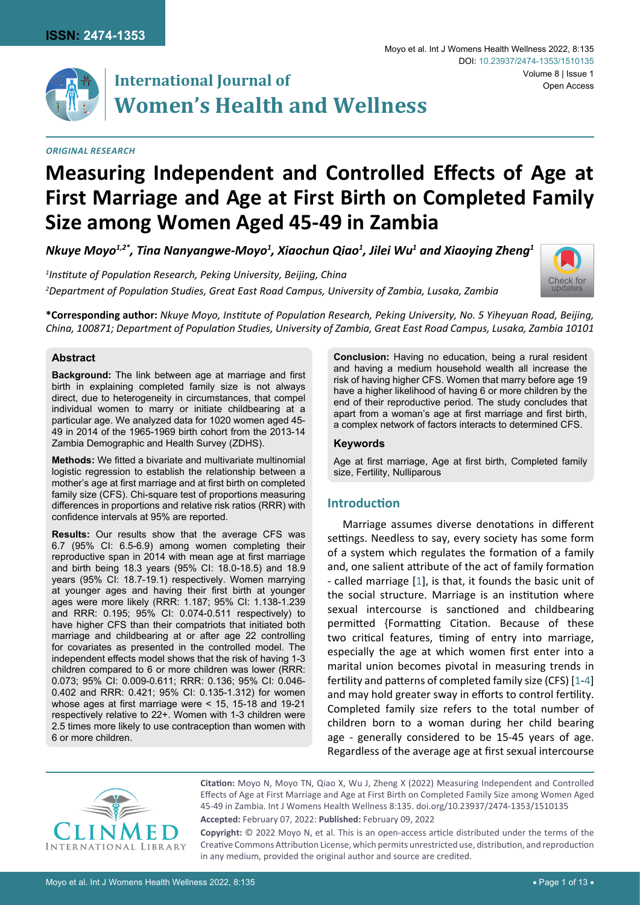

# **International Journal of Women's Health and Wellness**

#### *Original Research*

#### Moyo et al. Int J Womens Health Wellness 2022, 8:135 Volume 8 | Issue 1 DOI: [10.23937/2474-1353/1510135](https://doi.org/10.23937/2474-1353/1510135) Open Access



<code>Nkuye</code> Moyo $^{1,2^*}$ , Tina Nanyangwe-Moyo $^1$ , Xiaochun Qiao $^1$ , Jilei Wu $^1$  and Xiaoying Zheng $^1$ 

*1 Institute of Population Research, Peking University, Beijing, China 2 Department of Population Studies, Great East Road Campus, University of Zambia, Lusaka, Zambia*



**\*Corresponding author:** *Nkuye Moyo, Institute of Population Research, Peking University, No. 5 Yiheyuan Road, Beijing, China, 100871; Department of Population Studies, University of Zambia, Great East Road Campus, Lusaka, Zambia 10101*

### **Abstract**

**Background:** The link between age at marriage and first birth in explaining completed family size is not always direct, due to heterogeneity in circumstances, that compel individual women to marry or initiate childbearing at a particular age. We analyzed data for 1020 women aged 45- 49 in 2014 of the 1965-1969 birth cohort from the 2013-14 Zambia Demographic and Health Survey (ZDHS).

**Methods:** We fitted a bivariate and multivariate multinomial logistic regression to establish the relationship between a mother's age at first marriage and at first birth on completed family size (CFS). Chi-square test of proportions measuring differences in proportions and relative risk ratios (RRR) with confidence intervals at 95% are reported.

**Results:** Our results show that the average CFS was 6.7 (95% CI: 6.5-6.9) among women completing their reproductive span in 2014 with mean age at first marriage and birth being 18.3 years (95% CI: 18.0-18.5) and 18.9 years (95% CI: 18.7-19.1) respectively. Women marrying at younger ages and having their first birth at younger ages were more likely (RRR: 1.187; 95% CI: 1.138-1.239 and RRR: 0.195; 95% CI: 0.074-0.511 respectively) to have higher CFS than their compatriots that initiated both marriage and childbearing at or after age 22 controlling for covariates as presented in the controlled model. The independent effects model shows that the risk of having 1-3 children compared to 6 or more children was lower (RRR: 0.073; 95% CI: 0.009-0.611; RRR: 0.136; 95% CI: 0.046- 0.402 and RRR: 0.421; 95% CI: 0.135-1.312) for women whose ages at first marriage were < 15, 15-18 and 19-21 respectively relative to 22+. Women with 1-3 children were 2.5 times more likely to use contraception than women with 6 or more children.

**Conclusion:** Having no education, being a rural resident and having a medium household wealth all increase the risk of having higher CFS. Women that marry before age 19 have a higher likelihood of having 6 or more children by the end of their reproductive period. The study concludes that apart from a woman's age at first marriage and first birth, a complex network of factors interacts to determined CFS.

### **Keywords**

Age at first marriage, Age at first birth, Completed family size, Fertility, Nulliparous

## **Introduction**

Marriage assumes diverse denotations in different settings. Needless to say, every society has some form of a system which regulates the formation of a family and, one salient attribute of the act of family formation - called marriage [\[1\]](#page-11-0), is that, it founds the basic unit of the social structure. Marriage is an institution where sexual intercourse is sanctioned and childbearing permitted {Formatting Citation. Because of these two critical features, timing of entry into marriage, especially the age at which women first enter into a marital union becomes pivotal in measuring trends in fertility and patterns of completed family size (CFS) [[1](#page-11-0)-[4](#page-11-1)] and may hold greater sway in efforts to control fertility. Completed family size refers to the total number of children born to a woman during her child bearing age - generally considered to be 15-45 years of age. Regardless of the average age at first sexual intercourse



**Citation:** Moyo N, Moyo TN, Qiao X, Wu J, Zheng X (2022) Measuring Independent and Controlled Effects of Age at First Marriage and Age at First Birth on Completed Family Size among Women Aged 45-49 in Zambia. Int J Womens Health Wellness 8:135. [doi.org/10.23937/2474-1353/151013](https://doi.org/10.23937/2474-1353/1510135)5

**Accepted:** February 07, 2022: **Published:** February 09, 2022

**Copyright:** © 2022 Moyo N, et al. This is an open-access article distributed under the terms of the Creative Commons Attribution License, which permits unrestricted use, distribution, and reproduction in any medium, provided the original author and source are credited.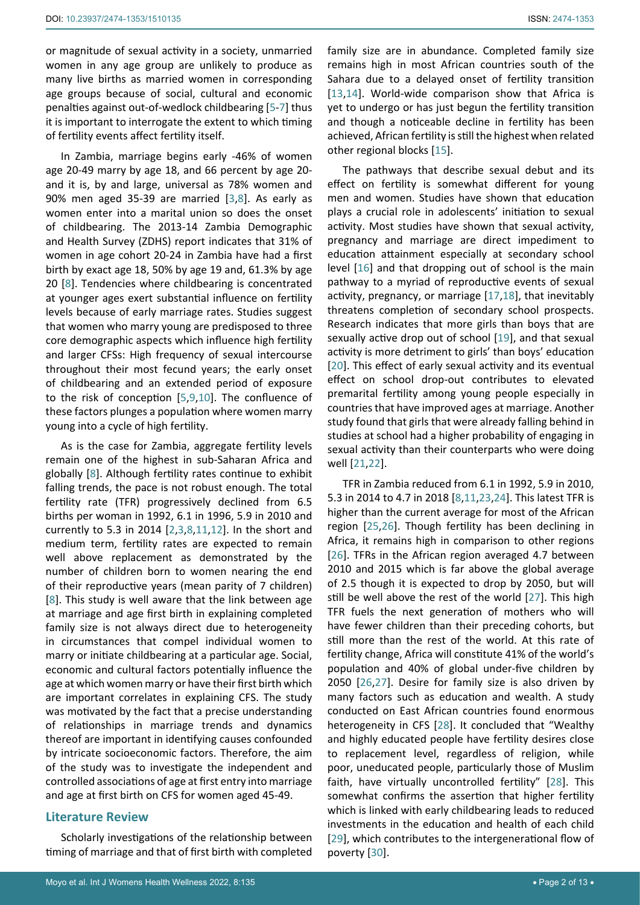or magnitude of sexual activity in a society, unmarried women in any age group are unlikely to produce as many live births as married women in corresponding age groups because of social, cultural and economic penalties against out-of-wedlock childbearing [[5](#page-11-22)-[7](#page-11-23)] thus it is important to interrogate the extent to which timing of fertility events affect fertility itself.

In Zambia, marriage begins early -46% of women age 20-49 marry by age 18, and 66 percent by age 20 and it is, by and large, universal as 78% women and 90% men aged 35-39 are married [[3](#page-11-24),[8\]](#page-11-12). As early as women enter into a marital union so does the onset of childbearing. The 2013-14 Zambia Demographic and Health Survey (ZDHS) report indicates that 31% of women in age cohort 20-24 in Zambia have had a first birth by exact age 18, 50% by age 19 and, 61.3% by age 20 [[8](#page-11-12)]. Tendencies where childbearing is concentrated at younger ages exert substantial influence on fertility levels because of early marriage rates. Studies suggest that women who marry young are predisposed to three core demographic aspects which influence high fertility and larger CFSs: High frequency of sexual intercourse throughout their most fecund years; the early onset of childbearing and an extended period of exposure to the risk of conception [[5](#page-11-22)[,9,](#page-11-25)[10\]](#page-11-26). The confluence of these factors plunges a population where women marry young into a cycle of high fertility.

As is the case for Zambia, aggregate fertility levels remain one of the highest in sub-Saharan Africa and globally [[8](#page-11-12)]. Although fertility rates continue to exhibit falling trends, the pace is not robust enough. The total fertility rate (TFR) progressively declined from 6.5 births per woman in 1992, 6.1 in 1996, 5.9 in 2010 and currently to 5.3 in 2014 [[2,](#page-11-27)[3](#page-11-24),[8](#page-11-12),[11](#page-11-13),[12](#page-11-28)]. In the short and medium term, fertility rates are expected to remain well above replacement as demonstrated by the number of children born to women nearing the end of their reproductive years (mean parity of 7 children) [[8](#page-11-12)]. This study is well aware that the link between age at marriage and age first birth in explaining completed family size is not always direct due to heterogeneity in circumstances that compel individual women to marry or initiate childbearing at a particular age. Social, economic and cultural factors potentially influence the age at which women marry or have their first birth which are important correlates in explaining CFS. The study was motivated by the fact that a precise understanding of relationships in marriage trends and dynamics thereof are important in identifying causes confounded by intricate socioeconomic factors. Therefore, the aim of the study was to investigate the independent and controlled associations of age at first entry into marriage and age at first birth on CFS for women aged 45-49.

## **Literature Review**

Scholarly investigations of the relationship between timing of marriage and that of first birth with completed family size are in abundance. Completed family size remains high in most African countries south of the Sahara due to a delayed onset of fertility transition [\[13](#page-11-2),[14](#page-11-3)]. World-wide comparison show that Africa is yet to undergo or has just begun the fertility transition and though a noticeable decline in fertility has been achieved, African fertility is still the highest when related other regional blocks [[15\]](#page-11-4).

The pathways that describe sexual debut and its effect on fertility is somewhat different for young men and women. Studies have shown that education plays a crucial role in adolescents' initiation to sexual activity. Most studies have shown that sexual activity, pregnancy and marriage are direct impediment to education attainment especially at secondary school level [[16\]](#page-11-5) and that dropping out of school is the main pathway to a myriad of reproductive events of sexual activity, pregnancy, or marriage [[17](#page-11-6),[18\]](#page-11-7), that inevitably threatens completion of secondary school prospects. Research indicates that more girls than boys that are sexually active drop out of school [[19](#page-11-8)], and that sexual activity is more detriment to girls' than boys' education [[20](#page-11-9)]. This effect of early sexual activity and its eventual effect on school drop-out contributes to elevated premarital fertility among young people especially in countries that have improved ages at marriage. Another study found that girls that were already falling behind in studies at school had a higher probability of engaging in sexual activity than their counterparts who were doing well [[21](#page-11-10),[22](#page-11-11)].

TFR in Zambia reduced from 6.1 in 1992, 5.9 in 2010, 5.3 in 2014 to 4.7 in 2018 [[8](#page-11-12),[11](#page-11-13),[23](#page-11-14),[24](#page-11-15)]. This latest TFR is higher than the current average for most of the African region [[25](#page-11-16),[26](#page-11-17)]. Though fertility has been declining in Africa, it remains high in comparison to other regions [\[26](#page-11-17)]. TFRs in the African region averaged 4.7 between 2010 and 2015 which is far above the global average of 2.5 though it is expected to drop by 2050, but will still be well above the rest of the world [[27\]](#page-11-18). This high TFR fuels the next generation of mothers who will have fewer children than their preceding cohorts, but still more than the rest of the world. At this rate of fertility change, Africa will constitute 41% of the world's population and 40% of global under-five children by 2050 [\[26](#page-11-17),[27](#page-11-18)]. Desire for family size is also driven by many factors such as education and wealth. A study conducted on East African countries found enormous heterogeneity in CFS [[28](#page-11-19)]. It concluded that "Wealthy and highly educated people have fertility desires close to replacement level, regardless of religion, while poor, uneducated people, particularly those of Muslim faith, have virtually uncontrolled fertility" [[28\]](#page-11-19). This somewhat confirms the assertion that higher fertility which is linked with early childbearing leads to reduced investments in the education and health of each child [[29](#page-11-20)], which contributes to the intergenerational flow of poverty [\[30](#page-11-21)].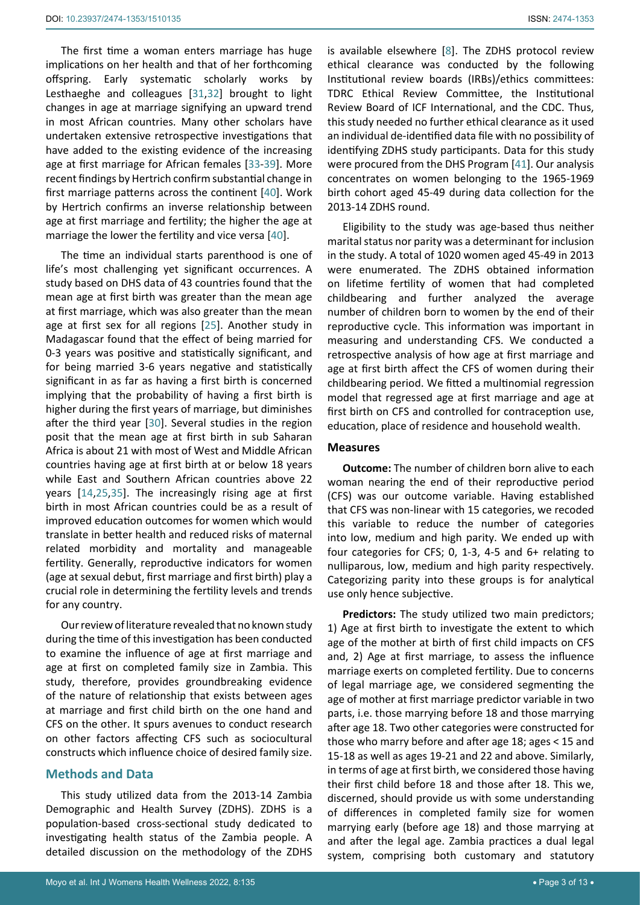The first time a woman enters marriage has huge implications on her health and that of her forthcoming offspring. Early systematic scholarly works by Lesthaeghe and colleagues [[31](#page-11-29),[32\]](#page-11-30) brought to light changes in age at marriage signifying an upward trend in most African countries. Many other scholars have undertaken extensive retrospective investigations that have added to the existing evidence of the increasing age at first marriage for African females [\[33](#page-11-31)-[39\]](#page-11-32). More recent findings by Hertrich confirm substantial change in first marriage patterns across the continent [[40](#page-11-33)]. Work by Hertrich confirms an inverse relationship between age at first marriage and fertility; the higher the age at marriage the lower the fertility and vice versa [[40](#page-11-33)].

The time an individual starts parenthood is one of life's most challenging yet significant occurrences. A study based on DHS data of 43 countries found that the mean age at first birth was greater than the mean age at first marriage, which was also greater than the mean age at first sex for all regions [[25](#page-11-16)]. Another study in Madagascar found that the effect of being married for 0-3 years was positive and statistically significant, and for being married 3-6 years negative and statistically significant in as far as having a first birth is concerned implying that the probability of having a first birth is higher during the first years of marriage, but diminishes after the third year [\[30](#page-11-21)]. Several studies in the region posit that the mean age at first birth in sub Saharan Africa is about 21 with most of West and Middle African countries having age at first birth at or below 18 years while East and Southern African countries above 22 years [\[14](#page-11-3)[,25](#page-11-16),[35](#page-11-34)]. The increasingly rising age at first birth in most African countries could be as a result of improved education outcomes for women which would translate in better health and reduced risks of maternal related morbidity and mortality and manageable fertility. Generally, reproductive indicators for women (age at sexual debut, first marriage and first birth) play a crucial role in determining the fertility levels and trends for any country.

Our review of literature revealed that no known study during the time of this investigation has been conducted to examine the influence of age at first marriage and age at first on completed family size in Zambia. This study, therefore, provides groundbreaking evidence of the nature of relationship that exists between ages at marriage and first child birth on the one hand and CFS on the other. It spurs avenues to conduct research on other factors affecting CFS such as sociocultural constructs which influence choice of desired family size.

## **Methods and Data**

This study utilized data from the 2013-14 Zambia Demographic and Health Survey (ZDHS). ZDHS is a population-based cross-sectional study dedicated to investigating health status of the Zambia people. A detailed discussion on the methodology of the ZDHS

is available elsewhere [\[8\]](#page-11-12). The ZDHS protocol review ethical clearance was conducted by the following Institutional review boards (IRBs)/ethics committees: TDRC Ethical Review Committee, the Institutional Review Board of ICF International, and the CDC. Thus, this study needed no further ethical clearance as it used an individual de-identified data file with no possibility of identifying ZDHS study participants. Data for this study were procured from the DHS Program [\[41](#page-12-0)]. Our analysis concentrates on women belonging to the 1965-1969 birth cohort aged 45-49 during data collection for the 2013-14 ZDHS round.

Eligibility to the study was age-based thus neither marital status nor parity was a determinant for inclusion in the study. A total of 1020 women aged 45-49 in 2013 were enumerated. The ZDHS obtained information on lifetime fertility of women that had completed childbearing and further analyzed the average number of children born to women by the end of their reproductive cycle. This information was important in measuring and understanding CFS. We conducted a retrospective analysis of how age at first marriage and age at first birth affect the CFS of women during their childbearing period. We fitted a multinomial regression model that regressed age at first marriage and age at first birth on CFS and controlled for contraception use, education, place of residence and household wealth.

#### **Measures**

**Outcome:** The number of children born alive to each woman nearing the end of their reproductive period (CFS) was our outcome variable. Having established that CFS was non-linear with 15 categories, we recoded this variable to reduce the number of categories into low, medium and high parity. We ended up with four categories for CFS; 0, 1-3, 4-5 and 6+ relating to nulliparous, low, medium and high parity respectively. Categorizing parity into these groups is for analytical use only hence subjective.

**Predictors:** The study utilized two main predictors; 1) Age at first birth to investigate the extent to which age of the mother at birth of first child impacts on CFS and, 2) Age at first marriage, to assess the influence marriage exerts on completed fertility. Due to concerns of legal marriage age, we considered segmenting the age of mother at first marriage predictor variable in two parts, i.e. those marrying before 18 and those marrying after age 18. Two other categories were constructed for those who marry before and after age 18; ages < 15 and 15-18 as well as ages 19-21 and 22 and above. Similarly, in terms of age at first birth, we considered those having their first child before 18 and those after 18. This we, discerned, should provide us with some understanding of differences in completed family size for women marrying early (before age 18) and those marrying at and after the legal age. Zambia practices a dual legal system, comprising both customary and statutory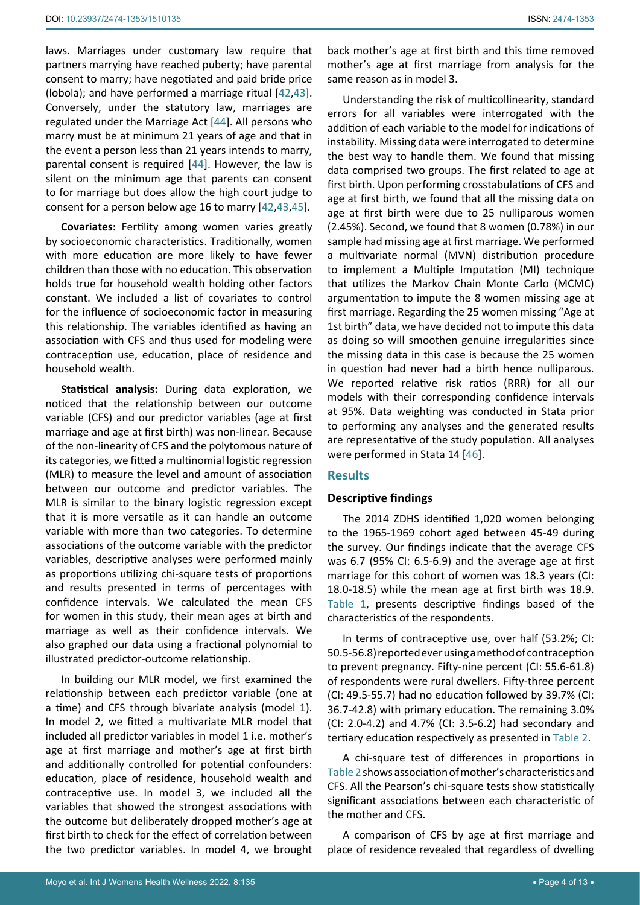laws. Marriages under customary law require that partners marrying have reached puberty; have parental consent to marry; have negotiated and paid bride price (lobola); and have performed a marriage ritual [[42,](#page-12-2)[43](#page-12-3)]. Conversely, under the statutory law, marriages are regulated under the Marriage Act [[44](#page-12-4)]. All persons who marry must be at minimum 21 years of age and that in the event a person less than 21 years intends to marry, parental consent is required [[44](#page-12-4)]. However, the law is silent on the minimum age that parents can consent to for marriage but does allow the high court judge to consent for a person below age 16 to marry [[42,](#page-12-2)[43](#page-12-3)[,45](#page-12-5)].

**Covariates:** Fertility among women varies greatly by socioeconomic characteristics. Traditionally, women with more education are more likely to have fewer children than those with no education. This observation holds true for household wealth holding other factors constant. We included a list of covariates to control for the influence of socioeconomic factor in measuring this relationship. The variables identified as having an association with CFS and thus used for modeling were contraception use, education, place of residence and household wealth.

**Statistical analysis:** During data exploration, we noticed that the relationship between our outcome variable (CFS) and our predictor variables (age at first marriage and age at first birth) was non-linear. Because of the non-linearity of CFS and the polytomous nature of its categories, we fitted a multinomial logistic regression (MLR) to measure the level and amount of association between our outcome and predictor variables. The MLR is similar to the binary logistic regression except that it is more versatile as it can handle an outcome variable with more than two categories. To determine associations of the outcome variable with the predictor variables, descriptive analyses were performed mainly as proportions utilizing chi-square tests of proportions and results presented in terms of percentages with confidence intervals. We calculated the mean CFS for women in this study, their mean ages at birth and marriage as well as their confidence intervals. We also graphed our data using a fractional polynomial to illustrated predictor-outcome relationship.

In building our MLR model, we first examined the relationship between each predictor variable (one at a time) and CFS through bivariate analysis (model 1). In model 2, we fitted a multivariate MLR model that included all predictor variables in model 1 i.e. mother's age at first marriage and mother's age at first birth and additionally controlled for potential confounders: education, place of residence, household wealth and contraceptive use. In model 3, we included all the variables that showed the strongest associations with the outcome but deliberately dropped mother's age at first birth to check for the effect of correlation between the two predictor variables. In model 4, we brought

back mother's age at first birth and this time removed mother's age at first marriage from analysis for the same reason as in model 3.

Understanding the risk of multicollinearity, standard errors for all variables were interrogated with the addition of each variable to the model for indications of instability. Missing data were interrogated to determine the best way to handle them. We found that missing data comprised two groups. The first related to age at first birth. Upon performing crosstabulations of CFS and age at first birth, we found that all the missing data on age at first birth were due to 25 nulliparous women (2.45%). Second, we found that 8 women (0.78%) in our sample had missing age at first marriage. We performed a multivariate normal (MVN) distribution procedure to implement a Multiple Imputation (MI) technique that utilizes the Markov Chain Monte Carlo (MCMC) argumentation to impute the 8 women missing age at first marriage. Regarding the 25 women missing "Age at 1st birth" data, we have decided not to impute this data as doing so will smoothen genuine irregularities since the missing data in this case is because the 25 women in question had never had a birth hence nulliparous. We reported relative risk ratios (RRR) for all our models with their corresponding confidence intervals at 95%. Data weighting was conducted in Stata prior to performing any analyses and the generated results are representative of the study population. All analyses were performed in Stata 14 [[46\]](#page-12-1).

## **Results**

## **Descriptive findings**

The 2014 ZDHS identified 1,020 women belonging to the 1965-1969 cohort aged between 45-49 during the survey. Our findings indicate that the average CFS was 6.7 (95% CI: 6.5-6.9) and the average age at first marriage for this cohort of women was 18.3 years (CI: 18.0-18.5) while the mean age at first birth was 18.9. Table 1, presents descriptive findings based of the characteristics of the respondents.

In terms of contraceptive use, over half (53.2%; CI: 50.5-56.8) reported ever using a method of contraception to prevent pregnancy. Fifty-nine percent (CI: 55.6-61.8) of respondents were rural dwellers. Fifty-three percent (CI: 49.5-55.7) had no education followed by 39.7% (CI: 36.7-42.8) with primary education. The remaining 3.0% (CI: 2.0-4.2) and 4.7% (CI: 3.5-6.2) had secondary and tertiary education respectively as presented in Table 2.

A chi-square test of differences in proportions in Table 2 shows association of mother's characteristics and CFS. All the Pearson's chi-square tests show statistically significant associations between each characteristic of the mother and CFS.

A comparison of CFS by age at first marriage and place of residence revealed that regardless of dwelling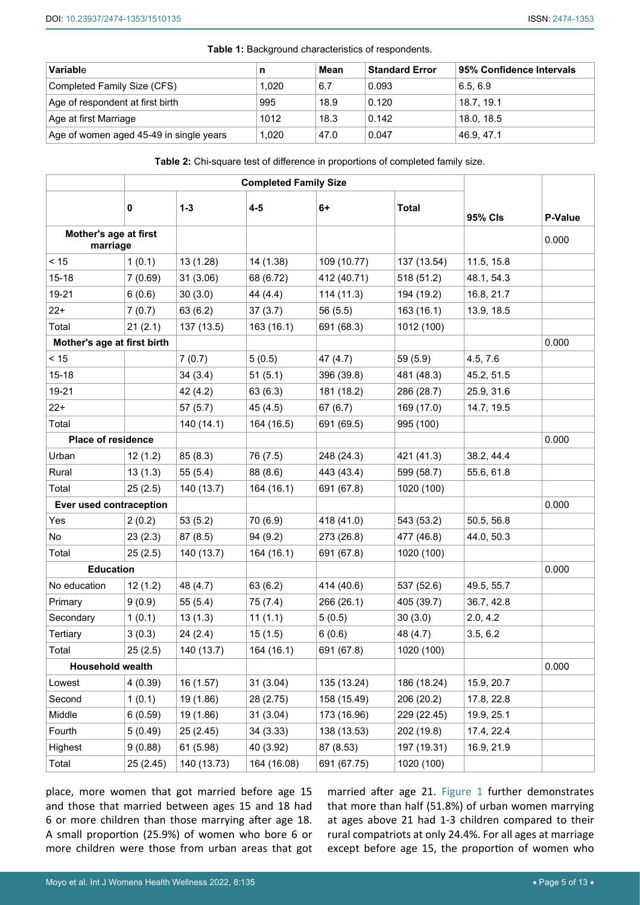| Variable                                |       | Mean | <b>Standard Error</b> | 95% Confidence Intervals |
|-----------------------------------------|-------|------|-----------------------|--------------------------|
| Completed Family Size (CFS)             | 1,020 | 6.7  | 0.093                 | 6.5.6.9                  |
| Age of respondent at first birth        | 995   | 18.9 | 0.120                 | 18.7.19.1                |
| Age at first Marriage                   | 1012  | 18.3 | 0.142                 | 18.0, 18.5               |
| Age of women aged 45-49 in single years | 1,020 | 47.0 | 0.047                 | 46.9.47.1                |

**Table 1:** Background characteristics of respondents.

**Table 2:** Chi-square test of difference in proportions of completed family size.

|                                   | 0         | $1 - 3$     | $4 - 5$     | $6+$        | <b>Total</b> | <b>95% CIs</b> | <b>P-Value</b> |
|-----------------------------------|-----------|-------------|-------------|-------------|--------------|----------------|----------------|
| Mother's age at first<br>marriage |           |             |             |             |              |                | 0.000          |
| < 15                              | 1(0.1)    | 13 (1.28)   | 14 (1.38)   | 109 (10.77) | 137 (13.54)  | 11.5, 15.8     |                |
| $15 - 18$                         | 7(0.69)   | 31(3.06)    | 68 (6.72)   | 412 (40.71) | 518 (51.2)   | 48.1, 54.3     |                |
| 19-21                             | 6(0.6)    | 30(3.0)     | 44 (4.4)    | 114(11.3)   | 194 (19.2)   | 16.8, 21.7     |                |
| $22+$                             | 7(0.7)    | 63 (6.2)    | 37(3.7)     | 56 (5.5)    | 163 (16.1)   | 13.9, 18.5     |                |
| Total                             | 21(2.1)   | 137 (13.5)  | 163 (16.1)  | 691 (68.3)  | 1012 (100)   |                |                |
| Mother's age at first birth       |           |             |             |             |              |                | 0.000          |
| < 15                              |           | 7(0.7)      | 5(0.5)      | 47(4.7)     | 59 (5.9)     | 4.5, 7.6       |                |
| $15 - 18$                         |           | 34(3.4)     | 51(5.1)     | 396 (39.8)  | 481 (48.3)   | 45.2, 51.5     |                |
| 19-21                             |           | 42 (4.2)    | 63 (6.3)    | 181 (18.2)  | 286 (28.7)   | 25.9, 31.6     |                |
| $22+$                             |           | 57(5.7)     | 45 (4.5)    | 67(6.7)     | 169 (17.0)   | 14.7, 19.5     |                |
| Total                             |           | 140 (14.1)  | 164 (16.5)  | 691 (69.5)  | 995 (100)    |                |                |
| <b>Place of residence</b>         |           |             |             |             |              |                | 0.000          |
| Urban                             | 12(1.2)   | 85(8.3)     | 76 (7.5)    | 248 (24.3)  | 421 (41.3)   | 38.2, 44.4     |                |
| Rural                             | 13(1.3)   | 55(5.4)     | 88 (8.6)    | 443 (43.4)  | 599 (58.7)   | 55.6, 61.8     |                |
| Total                             | 25(2.5)   | 140 (13.7)  | 164 (16.1)  | 691 (67.8)  | 1020 (100)   |                |                |
| Ever used contraception           |           |             |             |             |              |                | 0.000          |
| Yes                               | 2(0.2)    | 53(5.2)     | 70 (6.9)    | 418 (41.0)  | 543 (53.2)   | 50.5, 56.8     |                |
| No                                | 23(2.3)   | 87(8.5)     | 94(9.2)     | 273 (26.8)  | 477 (46.8)   | 44.0, 50.3     |                |
| Total                             | 25(2.5)   | 140 (13.7)  | 164 (16.1)  | 691 (67.8)  | 1020 (100)   |                |                |
| <b>Education</b>                  |           |             |             |             |              |                | 0.000          |
| No education                      | 12(1.2)   | 48 (4.7)    | 63 (6.2)    | 414 (40.6)  | 537 (52.6)   | 49.5, 55.7     |                |
| Primary                           | 9(0.9)    | 55(5.4)     | 75 (7.4)    | 266 (26.1)  | 405 (39.7)   | 36.7, 42.8     |                |
| Secondary                         | 1(0.1)    | 13(1.3)     | 11(1.1)     | 5(0.5)      | 30(3.0)      | 2.0, 4.2       |                |
| Tertiary                          | 3(0.3)    | 24(2.4)     | 15(1.5)     | 6(0.6)      | 48 (4.7)     | 3.5, 6.2       |                |
| Total                             | 25(2.5)   | 140 (13.7)  | 164 (16.1)  | 691 (67.8)  | 1020 (100)   |                |                |
| Household wealth                  |           |             |             |             |              |                | 0.000          |
| Lowest                            | 4(0.39)   | 16(1.57)    | 31(3.04)    | 135 (13.24) | 186 (18.24)  | 15.9, 20.7     |                |
| Second                            | 1(0.1)    | 19 (1.86)   | 28 (2.75)   | 158 (15.49) | 206 (20.2)   | 17.8, 22.8     |                |
| Middle                            | 6(0.59)   | 19 (1.86)   | 31(3.04)    | 173 (16.96) | 229 (22.45)  | 19.9, 25.1     |                |
| Fourth                            | 5(0.49)   | 25 (2.45)   | 34(3.33)    | 138 (13.53) | 202 (19.8)   | 17.4, 22.4     |                |
| Highest                           | 9(0.88)   | 61 (5.98)   | 40 (3.92)   | 87 (8.53)   | 197 (19.31)  | 16.9, 21.9     |                |
| Total                             | 25 (2.45) | 140 (13.73) | 164 (16.08) | 691 (67.75) | 1020 (100)   |                |                |

place, more women that got married before age 15 and those that married between ages 15 and 18 had 6 or more children than those marrying after age 18. A small proportion (25.9%) of women who bore 6 or more children were those from urban areas that got married after age 21. Figure 1 further demonstrates that more than half (51.8%) of urban women marrying at ages above 21 had 1-3 children compared to their rural compatriots at only 24.4%. For all ages at marriage except before age 15, the proportion of women who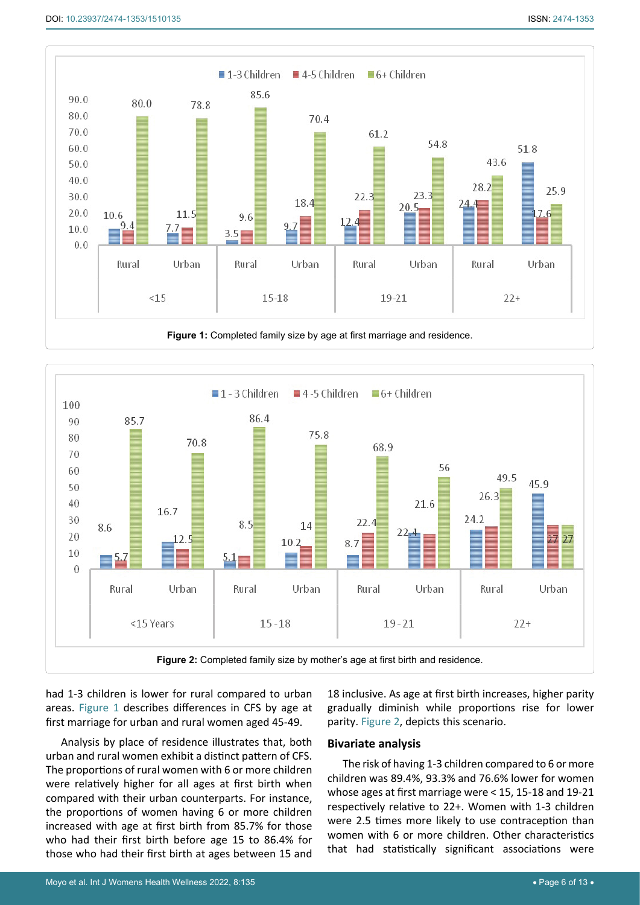

**Figure 1:** Completed family size by age at first marriage and residence.



had 1-3 children is lower for rural compared to urban areas. Figure 1 describes differences in CFS by age at first marriage for urban and rural women aged 45-49.

Analysis by place of residence illustrates that, both urban and rural women exhibit a distinct pattern of CFS. The proportions of rural women with 6 or more children were relatively higher for all ages at first birth when compared with their urban counterparts. For instance, the proportions of women having 6 or more children increased with age at first birth from 85.7% for those who had their first birth before age 15 to 86.4% for those who had their first birth at ages between 15 and

18 inclusive. As age at first birth increases, higher parity gradually diminish while proportions rise for lower parity. Figure 2, depicts this scenario.

#### **Bivariate analysis**

The risk of having 1-3 children compared to 6 or more children was 89.4%, 93.3% and 76.6% lower for women whose ages at first marriage were < 15, 15-18 and 19-21 respectively relative to 22+. Women with 1-3 children were 2.5 times more likely to use contraception than women with 6 or more children. Other characteristics that had statistically significant associations were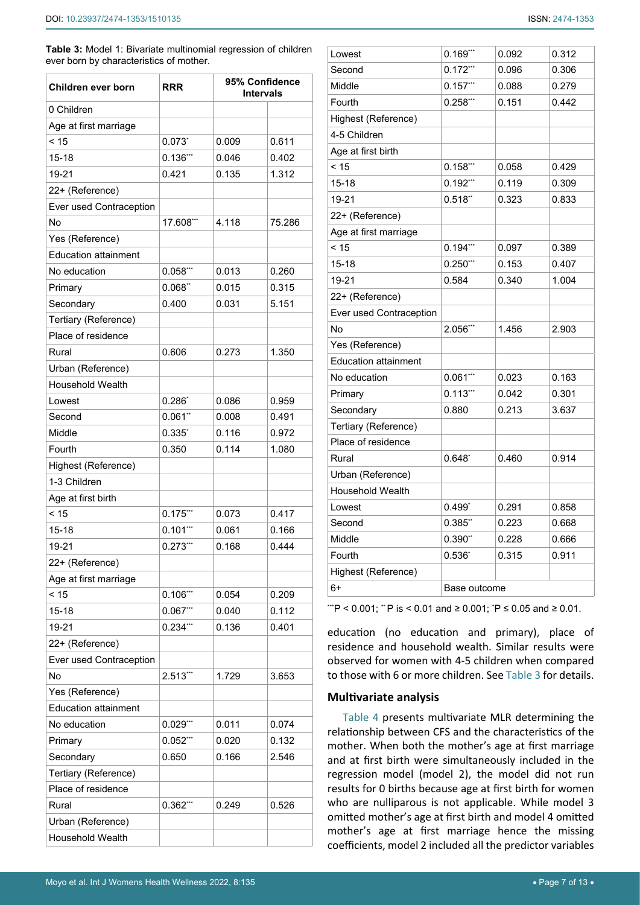**Table 3:** Model 1: Bivariate multinomial regression of children ever born by characteristics of mother.

| Children ever born                           | <b>RRR</b>  | 95% Confidence<br><b>Intervals</b> |        |  |  |
|----------------------------------------------|-------------|------------------------------------|--------|--|--|
| 0 Children                                   |             |                                    |        |  |  |
| Age at first marriage                        |             |                                    |        |  |  |
| < 15                                         | $0.073^{*}$ | 0.009                              | 0.611  |  |  |
| 15-18                                        | $0.136$ *** | 0.046                              | 0.402  |  |  |
| 19-21                                        | 0.421       | 0.135                              | 1.312  |  |  |
| 22+ (Reference)                              |             |                                    |        |  |  |
| Ever used Contraception                      |             |                                    |        |  |  |
| No                                           | 17.608**    | 4.118                              | 75.286 |  |  |
| Yes (Reference)                              |             |                                    |        |  |  |
| <b>Education attainment</b>                  |             |                                    |        |  |  |
| No education                                 | $0.058***$  | 0.013                              | 0.260  |  |  |
| Primary                                      | 0.068"      | 0.015                              | 0.315  |  |  |
| Secondary                                    | 0.400       | 0.031                              | 5.151  |  |  |
| Tertiary (Reference)                         |             |                                    |        |  |  |
| Place of residence                           |             |                                    |        |  |  |
| Rural                                        |             |                                    |        |  |  |
|                                              | 0.606       | 0.273                              | 1.350  |  |  |
| Urban (Reference)<br><b>Household Wealth</b> |             |                                    |        |  |  |
|                                              |             |                                    |        |  |  |
| Lowest                                       | $0.286^{*}$ | 0.086                              | 0.959  |  |  |
| Second                                       | 0.061"      | 0.008                              | 0.491  |  |  |
| Middle                                       | $0.335^{*}$ | 0.116                              | 0.972  |  |  |
| Fourth                                       | 0.350       | 0.114                              | 1.080  |  |  |
| Highest (Reference)                          |             |                                    |        |  |  |
| 1-3 Children                                 |             |                                    |        |  |  |
| Age at first birth                           |             |                                    |        |  |  |
| < 15                                         | $0.175***$  | 0.073                              | 0.417  |  |  |
| 15-18                                        | $0.101***$  | 0.061                              | 0.166  |  |  |
| 19-21                                        | $0.273$ *** | 0.168                              | 0.444  |  |  |
| 22+ (Reference)                              |             |                                    |        |  |  |
| Age at first marriage                        |             |                                    |        |  |  |
| < 15                                         | $0.106***$  | 0.054                              | 0.209  |  |  |
| $15 - 18$                                    | 0.067'''    | 0.040                              | 0.112  |  |  |
| 19-21                                        | $0.234***$  | 0.136                              | 0.401  |  |  |
| 22+ (Reference)                              |             |                                    |        |  |  |
| Ever used Contraception                      |             |                                    |        |  |  |
| No                                           | 2.513***    | 1.729                              | 3.653  |  |  |
| Yes (Reference)                              |             |                                    |        |  |  |
| <b>Education attainment</b>                  |             |                                    |        |  |  |
| No education                                 | 0.029'''    | 0.011                              | 0.074  |  |  |
| Primary                                      | $0.052***$  | 0.020                              | 0.132  |  |  |
| Secondary                                    | 0.650       | 0.166                              | 2.546  |  |  |
| Tertiary (Reference)                         |             |                                    |        |  |  |
| Place of residence                           |             |                                    |        |  |  |
| Rural                                        | $0.362$ *** | 0.249                              | 0.526  |  |  |
| Urban (Reference)                            |             |                                    |        |  |  |
| Household Wealth                             |             |                                    |        |  |  |

| Lowest                      | $0.169***$   | 0.092 | 0.312 |
|-----------------------------|--------------|-------|-------|
| Second                      | $0.172***$   | 0.096 | 0.306 |
| Middle                      | $0.157***$   | 0.088 | 0.279 |
| Fourth                      | $0.258***$   | 0.151 | 0.442 |
| Highest (Reference)         |              |       |       |
| 4-5 Children                |              |       |       |
| Age at first birth          |              |       |       |
| < 15                        | $0.158$ ***  | 0.058 | 0.429 |
| $15 - 18$                   | $0.192***$   | 0.119 | 0.309 |
| 19-21                       | 0.518"       | 0.323 | 0.833 |
| 22+ (Reference)             |              |       |       |
| Age at first marriage       |              |       |       |
| < 15                        | $0.194***$   | 0.097 | 0.389 |
| 15-18                       | $0.250***$   | 0.153 | 0.407 |
| 19-21                       | 0.584        | 0.340 | 1.004 |
| 22+ (Reference)             |              |       |       |
| Ever used Contraception     |              |       |       |
| No                          | 2.056***     | 1.456 | 2.903 |
| Yes (Reference)             |              |       |       |
| <b>Education attainment</b> |              |       |       |
| No education                | $0.061$ ***  | 0.023 | 0.163 |
| Primary                     | $0.113***$   | 0.042 | 0.301 |
| Secondary                   | 0.880        | 0.213 | 3.637 |
| Tertiary (Reference)        |              |       |       |
| Place of residence          |              |       |       |
| Rural                       | $0.648^{*}$  | 0.460 | 0.914 |
| Urban (Reference)           |              |       |       |
| Household Wealth            |              |       |       |
| Lowest                      | $0.499^*$    | 0.291 | 0.858 |
| Second                      | 0.385"       | 0.223 | 0.668 |
| Middle                      | 0.390"       | 0.228 | 0.666 |
| Fourth                      | $0.536*$     | 0.315 | 0.911 |
| Highest (Reference)         |              |       |       |
| 6+                          | Base outcome |       |       |

 $\text{``P}$  < 0.001;  $\text{``P}$  is < 0.01 and ≥ 0.001;  $\text{``P} \leq 0.05$  and ≥ 0.01.

education (no education and primary), place of residence and household wealth. Similar results were observed for women with 4-5 children when compared to those with 6 or more children. See Table 3 for details.

#### **Multivariate analysis**

Table 4 presents multivariate MLR determining the relationship between CFS and the characteristics of the mother. When both the mother's age at first marriage and at first birth were simultaneously included in the regression model (model 2), the model did not run results for 0 births because age at first birth for women who are nulliparous is not applicable. While model 3 omitted mother's age at first birth and model 4 omitted mother's age at first marriage hence the missing coefficients, model 2 included all the predictor variables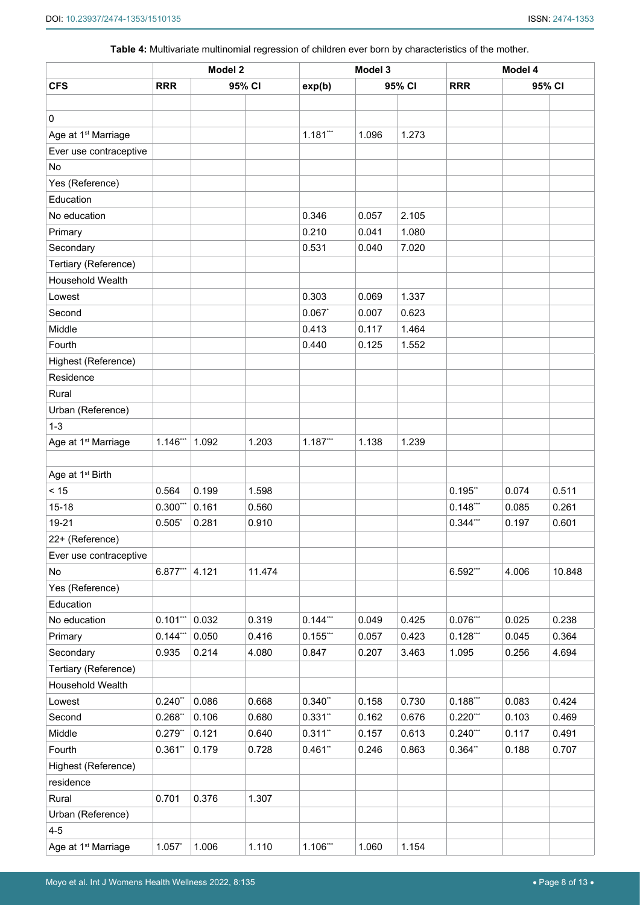**Table 4:** Multivariate multinomial regression of children ever born by characteristics of the mother.

|                                 | Model 2    |       | Model 3 |            |       | Model 4 |            |        |        |
|---------------------------------|------------|-------|---------|------------|-------|---------|------------|--------|--------|
| <b>CFS</b>                      | <b>RRR</b> |       | 95% CI  | exp(b)     |       | 95% CI  | <b>RRR</b> | 95% CI |        |
|                                 |            |       |         |            |       |         |            |        |        |
| $\mathbf 0$                     |            |       |         |            |       |         |            |        |        |
| Age at 1 <sup>st</sup> Marriage |            |       |         | $1.181***$ | 1.096 | 1.273   |            |        |        |
| Ever use contraceptive          |            |       |         |            |       |         |            |        |        |
| No                              |            |       |         |            |       |         |            |        |        |
| Yes (Reference)                 |            |       |         |            |       |         |            |        |        |
| Education                       |            |       |         |            |       |         |            |        |        |
| No education                    |            |       |         | 0.346      | 0.057 | 2.105   |            |        |        |
| Primary                         |            |       |         | 0.210      | 0.041 | 1.080   |            |        |        |
| Secondary                       |            |       |         | 0.531      | 0.040 | 7.020   |            |        |        |
| Tertiary (Reference)            |            |       |         |            |       |         |            |        |        |
| <b>Household Wealth</b>         |            |       |         |            |       |         |            |        |        |
| Lowest                          |            |       |         | 0.303      | 0.069 | 1.337   |            |        |        |
| Second                          |            |       |         | 0.067      | 0.007 | 0.623   |            |        |        |
| Middle                          |            |       |         | 0.413      | 0.117 | 1.464   |            |        |        |
| Fourth                          |            |       |         | 0.440      | 0.125 | 1.552   |            |        |        |
| Highest (Reference)             |            |       |         |            |       |         |            |        |        |
| Residence                       |            |       |         |            |       |         |            |        |        |
| Rural                           |            |       |         |            |       |         |            |        |        |
| Urban (Reference)               |            |       |         |            |       |         |            |        |        |
| $1 - 3$                         |            |       |         |            |       |         |            |        |        |
| Age at 1 <sup>st</sup> Marriage | 1.146***   | 1.092 | 1.203   | $1.187***$ | 1.138 | 1.239   |            |        |        |
|                                 |            |       |         |            |       |         |            |        |        |
| Age at 1 <sup>st</sup> Birth    |            |       |         |            |       |         |            |        |        |
| < 15                            | 0.564      | 0.199 | 1.598   |            |       |         | 0.195"     | 0.074  | 0.511  |
| $15 - 18$                       | $0.300***$ | 0.161 | 0.560   |            |       |         | $0.148***$ | 0.085  | 0.261  |
| 19-21                           | 0.505      | 0.281 | 0.910   |            |       |         | $0.344***$ | 0.197  | 0.601  |
| 22+ (Reference)                 |            |       |         |            |       |         |            |        |        |
| Ever use contraceptive          |            |       |         |            |       |         |            |        |        |
| No                              | 6.877***   | 4.121 | 11.474  |            |       |         | 6.592***   | 4.006  | 10.848 |
| Yes (Reference)                 |            |       |         |            |       |         |            |        |        |
| Education                       |            |       |         |            |       |         |            |        |        |
| No education                    | $0.101***$ | 0.032 | 0.319   | $0.144***$ | 0.049 | 0.425   | $0.076***$ | 0.025  | 0.238  |
| Primary                         | $0.144***$ | 0.050 | 0.416   | $0.155***$ | 0.057 | 0.423   | $0.128***$ | 0.045  | 0.364  |
| Secondary                       | 0.935      | 0.214 | 4.080   | 0.847      | 0.207 | 3.463   | 1.095      | 0.256  | 4.694  |
| Tertiary (Reference)            |            |       |         |            |       |         |            |        |        |
| Household Wealth                |            |       |         |            |       |         |            |        |        |
| Lowest                          | 0.240"     | 0.086 | 0.668   | 0.340"     | 0.158 | 0.730   | $0.188***$ | 0.083  | 0.424  |
| Second                          | 0.268"     | 0.106 | 0.680   | $0.331$ ** | 0.162 | 0.676   | $0.220***$ | 0.103  | 0.469  |
| Middle                          | 0.279"     | 0.121 | 0.640   | $0.311$ ** | 0.157 | 0.613   | $0.240***$ | 0.117  | 0.491  |
| Fourth                          | 0.361"     | 0.179 | 0.728   | 0.461"     | 0.246 | 0.863   | 0.364"     | 0.188  | 0.707  |
| Highest (Reference)             |            |       |         |            |       |         |            |        |        |
| residence                       |            |       |         |            |       |         |            |        |        |
| Rural                           | 0.701      | 0.376 | 1.307   |            |       |         |            |        |        |
| Urban (Reference)               |            |       |         |            |       |         |            |        |        |
| $4 - 5$                         |            |       |         |            |       |         |            |        |        |
| Age at 1 <sup>st</sup> Marriage | 1.057      | 1.006 | 1.110   | $1.106***$ | 1.060 | 1.154   |            |        |        |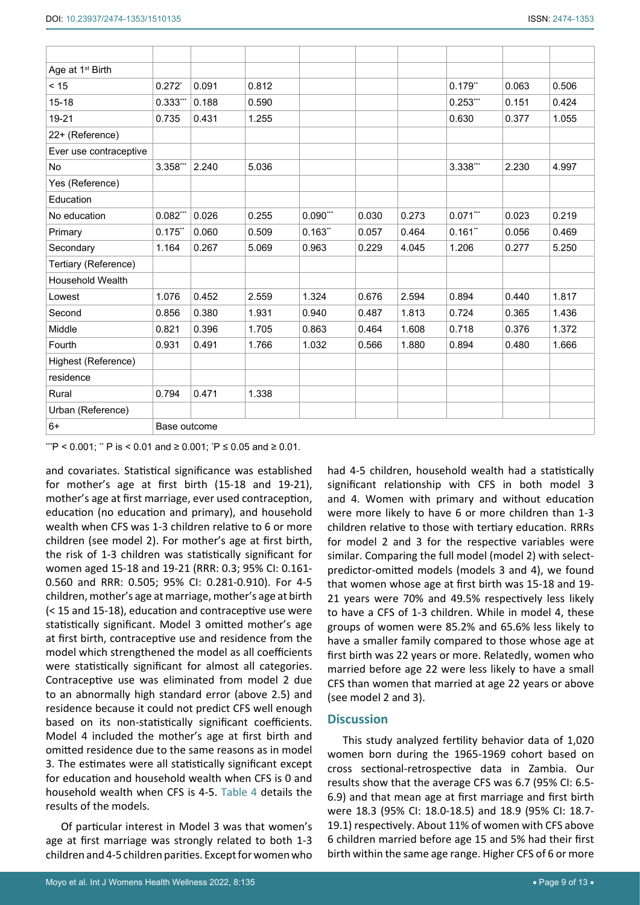| Age at 1 <sup>st</sup> Birth |                      |       |       |            |       |       |            |       |       |
|------------------------------|----------------------|-------|-------|------------|-------|-------|------------|-------|-------|
| < 15                         | $0.272$ <sup>*</sup> | 0.091 | 0.812 |            |       |       | $0.179$ ** | 0.063 | 0.506 |
| $15 - 18$                    | 0.333                | 0.188 | 0.590 |            |       |       | $0.253***$ | 0.151 | 0.424 |
| 19-21                        | 0.735                | 0.431 | 1.255 |            |       |       | 0.630      | 0.377 | 1.055 |
| 22+ (Reference)              |                      |       |       |            |       |       |            |       |       |
| Ever use contraceptive       |                      |       |       |            |       |       |            |       |       |
| No                           | 3.358**              | 2.240 | 5.036 |            |       |       | 3.338***   | 2.230 | 4.997 |
| Yes (Reference)              |                      |       |       |            |       |       |            |       |       |
| Education                    |                      |       |       |            |       |       |            |       |       |
| No education                 | $0.082***$           | 0.026 | 0.255 | $0.090***$ | 0.030 | 0.273 | $0.071***$ | 0.023 | 0.219 |
| Primary                      | 0.175"               | 0.060 | 0.509 | 0.163"     | 0.057 | 0.464 | 0.161"     | 0.056 | 0.469 |
| Secondary                    | 1.164                | 0.267 | 5.069 | 0.963      | 0.229 | 4.045 | 1.206      | 0.277 | 5.250 |
| Tertiary (Reference)         |                      |       |       |            |       |       |            |       |       |
| <b>Household Wealth</b>      |                      |       |       |            |       |       |            |       |       |
| Lowest                       | 1.076                | 0.452 | 2.559 | 1.324      | 0.676 | 2.594 | 0.894      | 0.440 | 1.817 |
| Second                       | 0.856                | 0.380 | 1.931 | 0.940      | 0.487 | 1.813 | 0.724      | 0.365 | 1.436 |
| Middle                       | 0.821                | 0.396 | 1.705 | 0.863      | 0.464 | 1.608 | 0.718      | 0.376 | 1.372 |
| Fourth                       | 0.931                | 0.491 | 1.766 | 1.032      | 0.566 | 1.880 | 0.894      | 0.480 | 1.666 |
| Highest (Reference)          |                      |       |       |            |       |       |            |       |       |
| residence                    |                      |       |       |            |       |       |            |       |       |
| Rural                        | 0.794                | 0.471 | 1.338 |            |       |       |            |       |       |
| Urban (Reference)            |                      |       |       |            |       |       |            |       |       |
| $6+$                         | Base outcome         |       |       |            |       |       |            |       |       |

'''P < 0.001; '' P is < 0.01 and ≥ 0.001; 'P ≤ 0.05 and ≥ 0.01.

and covariates. Statistical significance was established for mother's age at first birth (15-18 and 19-21), mother's age at first marriage, ever used contraception, education (no education and primary), and household wealth when CFS was 1-3 children relative to 6 or more children (see model 2). For mother's age at first birth, the risk of 1-3 children was statistically significant for women aged 15-18 and 19-21 (RRR: 0.3; 95% CI: 0.161- 0.560 and RRR: 0.505; 95% CI: 0.281-0.910). For 4-5 children, mother's age at marriage, mother's age at birth (< 15 and 15-18), education and contraceptive use were statistically significant. Model 3 omitted mother's age at first birth, contraceptive use and residence from the model which strengthened the model as all coefficients were statistically significant for almost all categories. Contraceptive use was eliminated from model 2 due to an abnormally high standard error (above 2.5) and residence because it could not predict CFS well enough based on its non-statistically significant coefficients. Model 4 included the mother's age at first birth and omitted residence due to the same reasons as in model 3. The estimates were all statistically significant except for education and household wealth when CFS is 0 and household wealth when CFS is 4-5. Table 4 details the results of the models.

Of particular interest in Model 3 was that women's age at first marriage was strongly related to both 1-3 children and 4-5 children parities. Except for women who had 4-5 children, household wealth had a statistically significant relationship with CFS in both model 3 and 4. Women with primary and without education were more likely to have 6 or more children than 1-3 children relative to those with tertiary education. RRRs for model 2 and 3 for the respective variables were similar. Comparing the full model (model 2) with selectpredictor-omitted models (models 3 and 4), we found that women whose age at first birth was 15-18 and 19- 21 years were 70% and 49.5% respectively less likely to have a CFS of 1-3 children. While in model 4, these groups of women were 85.2% and 65.6% less likely to have a smaller family compared to those whose age at first birth was 22 years or more. Relatedly, women who married before age 22 were less likely to have a small CFS than women that married at age 22 years or above (see model 2 and 3).

## **Discussion**

This study analyzed fertility behavior data of 1,020 women born during the 1965-1969 cohort based on cross sectional-retrospective data in Zambia. Our results show that the average CFS was 6.7 (95% CI: 6.5- 6.9) and that mean age at first marriage and first birth were 18.3 (95% CI: 18.0-18.5) and 18.9 (95% CI: 18.7- 19.1) respectively. About 11% of women with CFS above 6 children married before age 15 and 5% had their first birth within the same age range. Higher CFS of 6 or more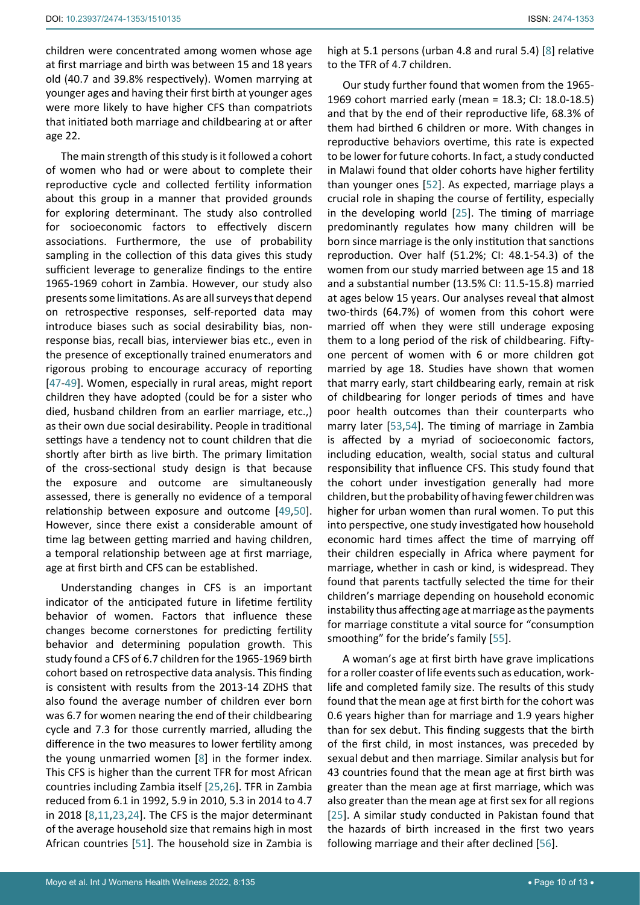children were concentrated among women whose age at first marriage and birth was between 15 and 18 years old (40.7 and 39.8% respectively). Women marrying at younger ages and having their first birth at younger ages were more likely to have higher CFS than compatriots that initiated both marriage and childbearing at or after age 22.

The main strength of this study is it followed a cohort of women who had or were about to complete their reproductive cycle and collected fertility information about this group in a manner that provided grounds for exploring determinant. The study also controlled for socioeconomic factors to effectively discern associations. Furthermore, the use of probability sampling in the collection of this data gives this study sufficient leverage to generalize findings to the entire 1965-1969 cohort in Zambia. However, our study also presents some limitations. As are all surveys that depend on retrospective responses, self-reported data may introduce biases such as social desirability bias, nonresponse bias, recall bias, interviewer bias etc., even in the presence of exceptionally trained enumerators and rigorous probing to encourage accuracy of reporting [[47](#page-12-11)[-49](#page-12-12)]. Women, especially in rural areas, might report children they have adopted (could be for a sister who died, husband children from an earlier marriage, etc.,) as their own due social desirability. People in traditional settings have a tendency not to count children that die shortly after birth as live birth. The primary limitation of the cross-sectional study design is that because the exposure and outcome are simultaneously assessed, there is generally no evidence of a temporal relationship between exposure and outcome [[49,](#page-12-12)[50](#page-12-13)]. However, since there exist a considerable amount of time lag between getting married and having children, a temporal relationship between age at first marriage, age at first birth and CFS can be established.

Understanding changes in CFS is an important indicator of the anticipated future in lifetime fertility behavior of women. Factors that influence these changes become cornerstones for predicting fertility behavior and determining population growth. This study found a CFS of 6.7 children for the 1965-1969 birth cohort based on retrospective data analysis. This finding is consistent with results from the 2013-14 ZDHS that also found the average number of children ever born was 6.7 for women nearing the end of their childbearing cycle and 7.3 for those currently married, alluding the difference in the two measures to lower fertility among the young unmarried women [[8](#page-11-12)] in the former index. This CFS is higher than the current TFR for most African countries including Zambia itself [[25,](#page-11-16)[26\]](#page-11-17). TFR in Zambia reduced from 6.1 in 1992, 5.9 in 2010, 5.3 in 2014 to 4.7 in 2018 [\[8](#page-11-12),[11](#page-11-13),[23](#page-11-14),[24](#page-11-15)]. The CFS is the major determinant of the average household size that remains high in most African countries [[51](#page-12-14)]. The household size in Zambia is

high at 5.1 persons (urban 4.8 and rural 5.4) [[8](#page-11-12)] relative to the TFR of 4.7 children.

Our study further found that women from the 1965- 1969 cohort married early (mean = 18.3; CI: 18.0-18.5) and that by the end of their reproductive life, 68.3% of them had birthed 6 children or more. With changes in reproductive behaviors overtime, this rate is expected to be lower for future cohorts. In fact, a study conducted in Malawi found that older cohorts have higher fertility than younger ones [[52](#page-12-6)]. As expected, marriage plays a crucial role in shaping the course of fertility, especially in the developing world [[25](#page-11-16)]. The timing of marriage predominantly regulates how many children will be born since marriage is the only institution that sanctions reproduction. Over half (51.2%; CI: 48.1-54.3) of the women from our study married between age 15 and 18 and a substantial number (13.5% CI: 11.5-15.8) married at ages below 15 years. Our analyses reveal that almost two-thirds (64.7%) of women from this cohort were married off when they were still underage exposing them to a long period of the risk of childbearing. Fiftyone percent of women with 6 or more children got married by age 18. Studies have shown that women that marry early, start childbearing early, remain at risk of childbearing for longer periods of times and have poor health outcomes than their counterparts who marry later [\[53](#page-12-7)[,54](#page-12-8)]. The timing of marriage in Zambia is affected by a myriad of socioeconomic factors, including education, wealth, social status and cultural responsibility that influence CFS. This study found that the cohort under investigation generally had more children, but the probability of having fewer children was higher for urban women than rural women. To put this into perspective, one study investigated how household economic hard times affect the time of marrying off their children especially in Africa where payment for marriage, whether in cash or kind, is widespread. They found that parents tactfully selected the time for their children's marriage depending on household economic instability thus affecting age at marriage as the payments for marriage constitute a vital source for "consumption smoothing" for the bride's family [[55](#page-12-9)].

A woman's age at first birth have grave implications for a roller coaster of life events such as education, worklife and completed family size. The results of this study found that the mean age at first birth for the cohort was 0.6 years higher than for marriage and 1.9 years higher than for sex debut. This finding suggests that the birth of the first child, in most instances, was preceded by sexual debut and then marriage. Similar analysis but for 43 countries found that the mean age at first birth was greater than the mean age at first marriage, which was also greater than the mean age at first sex for all regions [[25](#page-11-16)]. A similar study conducted in Pakistan found that the hazards of birth increased in the first two years following marriage and their after declined [[56](#page-12-10)].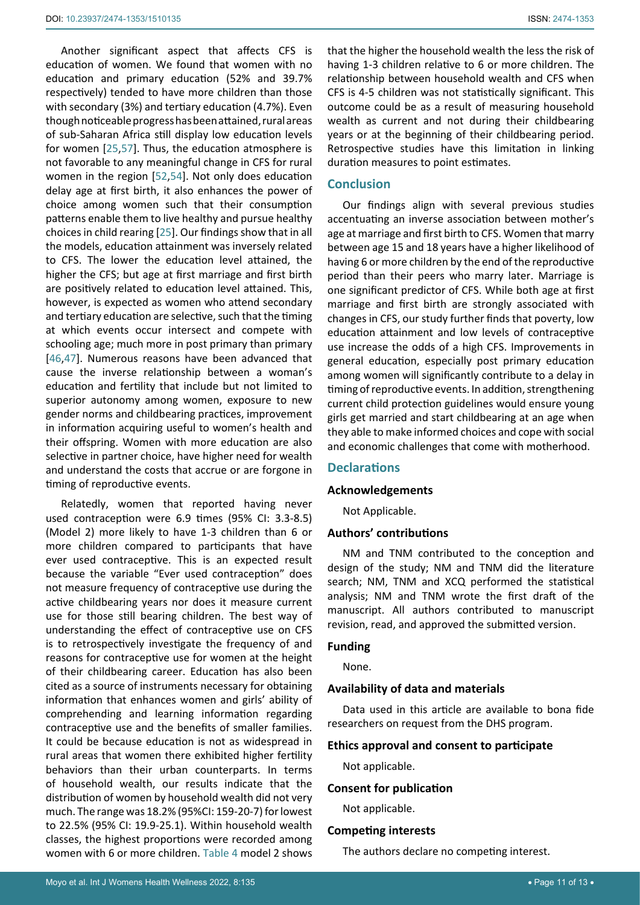Another significant aspect that affects CFS is education of women. We found that women with no education and primary education (52% and 39.7% respectively) tended to have more children than those with secondary (3%) and tertiary education (4.7%). Even though noticeable progress has been attained, rural areas of sub-Saharan Africa still display low education levels for women [[25](#page-11-16),[57\]](#page-12-15). Thus, the education atmosphere is not favorable to any meaningful change in CFS for rural women in the region [[52](#page-12-6)[,54](#page-12-8)]. Not only does education delay age at first birth, it also enhances the power of choice among women such that their consumption patterns enable them to live healthy and pursue healthy choices in child rearing [[25](#page-11-16)]. Our findings show that in all the models, education attainment was inversely related to CFS. The lower the education level attained, the higher the CFS; but age at first marriage and first birth are positively related to education level attained. This, however, is expected as women who attend secondary and tertiary education are selective, such that the timing at which events occur intersect and compete with schooling age; much more in post primary than primary [[46](#page-12-1),[47\]](#page-12-11). Numerous reasons have been advanced that cause the inverse relationship between a woman's education and fertility that include but not limited to superior autonomy among women, exposure to new gender norms and childbearing practices, improvement in information acquiring useful to women's health and their offspring. Women with more education are also selective in partner choice, have higher need for wealth and understand the costs that accrue or are forgone in timing of reproductive events.

Relatedly, women that reported having never used contraception were 6.9 times (95% CI: 3.3-8.5) (Model 2) more likely to have 1-3 children than 6 or more children compared to participants that have ever used contraceptive. This is an expected result because the variable "Ever used contraception" does not measure frequency of contraceptive use during the active childbearing years nor does it measure current use for those still bearing children. The best way of understanding the effect of contraceptive use on CFS is to retrospectively investigate the frequency of and reasons for contraceptive use for women at the height of their childbearing career. Education has also been cited as a source of instruments necessary for obtaining information that enhances women and girls' ability of comprehending and learning information regarding contraceptive use and the benefits of smaller families. It could be because education is not as widespread in rural areas that women there exhibited higher fertility behaviors than their urban counterparts. In terms of household wealth, our results indicate that the distribution of women by household wealth did not very much. The range was 18.2% (95%CI: 159-20-7) for lowest to 22.5% (95% CI: 19.9-25.1). Within household wealth classes, the highest proportions were recorded among women with 6 or more children. Table 4 model 2 shows

that the higher the household wealth the less the risk of having 1-3 children relative to 6 or more children. The relationship between household wealth and CFS when CFS is 4-5 children was not statistically significant. This outcome could be as a result of measuring household wealth as current and not during their childbearing years or at the beginning of their childbearing period. Retrospective studies have this limitation in linking duration measures to point estimates.

## **Conclusion**

Our findings align with several previous studies accentuating an inverse association between mother's age at marriage and first birth to CFS. Women that marry between age 15 and 18 years have a higher likelihood of having 6 or more children by the end of the reproductive period than their peers who marry later. Marriage is one significant predictor of CFS. While both age at first marriage and first birth are strongly associated with changes in CFS, our study further finds that poverty, low education attainment and low levels of contraceptive use increase the odds of a high CFS. Improvements in general education, especially post primary education among women will significantly contribute to a delay in timing of reproductive events. In addition, strengthening current child protection guidelines would ensure young girls get married and start childbearing at an age when they able to make informed choices and cope with social and economic challenges that come with motherhood.

## **Declarations**

#### **Acknowledgements**

Not Applicable.

#### **Authors' contributions**

NM and TNM contributed to the conception and design of the study; NM and TNM did the literature search; NM, TNM and XCQ performed the statistical analysis; NM and TNM wrote the first draft of the manuscript. All authors contributed to manuscript revision, read, and approved the submitted version.

### **Funding**

None.

#### **Availability of data and materials**

Data used in this article are available to bona fide researchers on request from the DHS program.

#### **Ethics approval and consent to participate**

Not applicable.

#### **Consent for publication**

Not applicable.

## **Competing interests**

The authors declare no competing interest.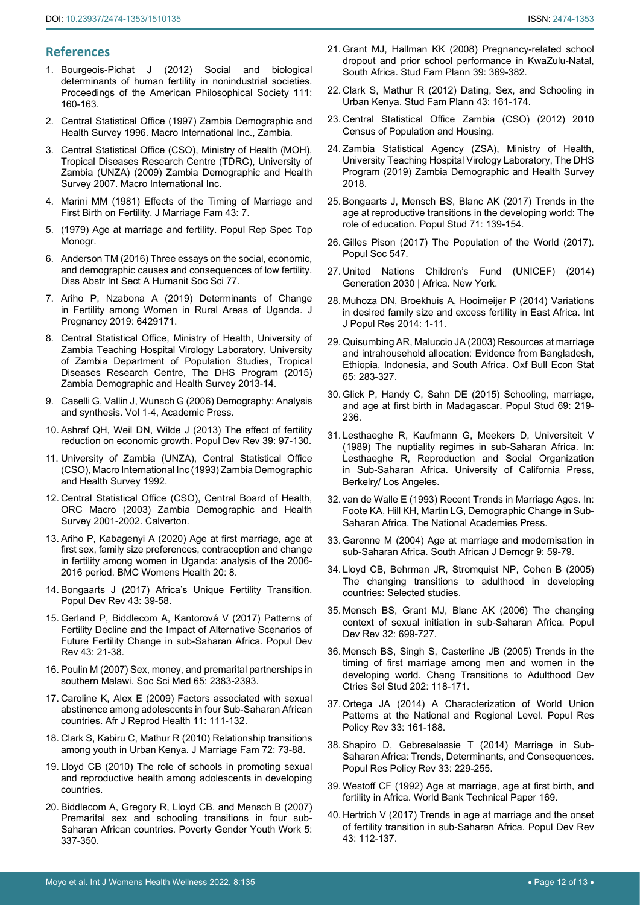## **References**

- <span id="page-11-0"></span>1. [Bourgeois-Pichat J \(2012\) Social and biological](https://www.jstor.org/stable/985712)  [determinants of human fertility in nonindustrial societies.](https://www.jstor.org/stable/985712)  [Proceedings of the American Philosophical Society 111:](https://www.jstor.org/stable/985712)  [160-163.](https://www.jstor.org/stable/985712)
- <span id="page-11-27"></span>2. [Central Statistical Office \(1997\) Zambia Demographic and](https://dhsprogram.com/pubs/pdf/SR170/SR170.pdf)  [Health Survey 1996. Macro International Inc., Zambia.](https://dhsprogram.com/pubs/pdf/SR170/SR170.pdf)
- <span id="page-11-24"></span>3. [Central Statistical Office \(CSO\), Ministry of Health \(MOH\),](https://www.dhsprogram.com/pubs/pdf/FR211/FR211%5brevised-05-12-2009%5d.pdf)  [Tropical Diseases Research Centre \(TDRC\), University of](https://www.dhsprogram.com/pubs/pdf/FR211/FR211%5brevised-05-12-2009%5d.pdf)  [Zambia \(UNZA\) \(2009\) Zambia Demographic and Health](https://www.dhsprogram.com/pubs/pdf/FR211/FR211%5brevised-05-12-2009%5d.pdf)  [Survey 2007. Macro International Inc.](https://www.dhsprogram.com/pubs/pdf/FR211/FR211%5brevised-05-12-2009%5d.pdf)
- <span id="page-11-1"></span>4. [Marini MM \(1981\) Effects of the Timing of Marriage and](https://www.jstor.org/stable/351415)  [First Birth on Fertility. J Marriage Fam 43: 7.](https://www.jstor.org/stable/351415)
- <span id="page-11-22"></span>5. [\(1979\) Age at marriage and fertility. Popul Rep Spec Top](https://pubmed.ncbi.nlm.nih.gov/392474/)  [Monogr.](https://pubmed.ncbi.nlm.nih.gov/392474/)
- 6. [Anderson TM \(2016\) Three essays on the social, economic,](https://repository.upenn.edu/dissertations/AAI3722947/)  [and demographic causes and consequences of low fertility.](https://repository.upenn.edu/dissertations/AAI3722947/)  [Diss Abstr Int Sect A Humanit Soc Sci 77.](https://repository.upenn.edu/dissertations/AAI3722947/)
- <span id="page-11-23"></span>7. [Ariho P, Nzabona A \(2019\) Determinants of Change](https://www.hindawi.com/journals/jp/2019/6429171/)  [in Fertility among Women in Rural Areas of Uganda. J](https://www.hindawi.com/journals/jp/2019/6429171/)  [Pregnancy 2019: 6429171.](https://www.hindawi.com/journals/jp/2019/6429171/)
- <span id="page-11-12"></span>8. [Central Statistical Office, Ministry of Health, University of](https://www.dhsprogram.com/pubs/pdf/fr304/fr304.pdf)  [Zambia Teaching Hospital Virology Laboratory, University](https://www.dhsprogram.com/pubs/pdf/fr304/fr304.pdf)  [of Zambia Department of Population Studies, Tropical](https://www.dhsprogram.com/pubs/pdf/fr304/fr304.pdf)  [Diseases Research Centre, The DHS Program \(2015\)](https://www.dhsprogram.com/pubs/pdf/fr304/fr304.pdf)  [Zambia Demographic and Health Survey 2013-14.](https://www.dhsprogram.com/pubs/pdf/fr304/fr304.pdf)
- <span id="page-11-25"></span>9. [Caselli G, Vallin J, Wunsch G \(2006\) Demography: Analysis](https://books.google.co.in/books/about/Demography_Analysis_and_Synthesis_Four_V.html?id=nmgNXoiAiU4C&redir_esc=y)  [and synthesis. Vol 1-4, Academic Press.](https://books.google.co.in/books/about/Demography_Analysis_and_Synthesis_Four_V.html?id=nmgNXoiAiU4C&redir_esc=y)
- <span id="page-11-26"></span>10. [Ashraf QH, Weil DN, Wilde J \(2013\) The effect of fertility](https://pubmed.ncbi.nlm.nih.gov/25525283/)  [reduction on economic growth. Popul Dev Rev 39: 97-130.](https://pubmed.ncbi.nlm.nih.gov/25525283/)
- <span id="page-11-13"></span>11. [University of Zambia \(UNZA\), Central Statistical Office](https://dhsprogram.com/pubs/pdf/FR42/FR42.pdf)  [\(CSO\), Macro International Inc \(1993\) Zambia Demographic](https://dhsprogram.com/pubs/pdf/FR42/FR42.pdf)  [and Health Survey 1992.](https://dhsprogram.com/pubs/pdf/FR42/FR42.pdf)
- <span id="page-11-28"></span>12. [Central Statistical Office \(CSO\), Central Board of Health,](https://microdata.worldbank.org/index.php/catalog/1526#:~:text=Specifically%2C the 2001%2D2002 ZDHS,and other sexually transmitted infections.)  [ORC Macro \(2003\) Zambia Demographic and Health](https://microdata.worldbank.org/index.php/catalog/1526#:~:text=Specifically%2C the 2001%2D2002 ZDHS,and other sexually transmitted infections.)  [Survey 2001-2002. Calverton.](https://microdata.worldbank.org/index.php/catalog/1526#:~:text=Specifically%2C the 2001%2D2002 ZDHS,and other sexually transmitted infections.)
- <span id="page-11-2"></span>13. [Ariho P, Kabagenyi A \(2020\) Age at first marriage, age at](https://bmcwomenshealth.biomedcentral.com/articles/10.1186/s12905-020-0881-4)  [first sex, family size preferences, contraception and change](https://bmcwomenshealth.biomedcentral.com/articles/10.1186/s12905-020-0881-4)  [in fertility among women in Uganda: analysis of the 2006-](https://bmcwomenshealth.biomedcentral.com/articles/10.1186/s12905-020-0881-4) [2016 period. BMC Womens Health 20: 8.](https://bmcwomenshealth.biomedcentral.com/articles/10.1186/s12905-020-0881-4)
- <span id="page-11-3"></span>14. [Bongaarts J \(2017\) Africa's Unique Fertility Transition.](https://onlinelibrary.wiley.com/doi/full/10.1111/j.1728-4457.2016.00164.x)  [Popul Dev Rev 43: 39-58.](https://onlinelibrary.wiley.com/doi/full/10.1111/j.1728-4457.2016.00164.x)
- <span id="page-11-4"></span>15. [Gerland P, Biddlecom A, Kantorová V \(2017\) Patterns of](https://onlinelibrary.wiley.com/doi/full/10.1111/padr.12011)  [Fertility Decline and the Impact of Alternative Scenarios of](https://onlinelibrary.wiley.com/doi/full/10.1111/padr.12011)  [Future Fertility Change in sub-Saharan Africa. Popul Dev](https://onlinelibrary.wiley.com/doi/full/10.1111/padr.12011)  [Rev 43: 21-38.](https://onlinelibrary.wiley.com/doi/full/10.1111/padr.12011)
- <span id="page-11-5"></span>16. [Poulin M \(2007\) Sex, money, and premarital partnerships in](https://pubmed.ncbi.nlm.nih.gov/17764797/)  [southern Malawi. Soc Sci Med 65: 2383-2393.](https://pubmed.ncbi.nlm.nih.gov/17764797/)
- <span id="page-11-6"></span>17. [Caroline K, Alex E \(2009\) Factors associated with sexual](https://pubmed.ncbi.nlm.nih.gov/19122794/)  [abstinence among adolescents in four Sub-Saharan African](https://pubmed.ncbi.nlm.nih.gov/19122794/)  [countries. Afr J Reprod Health 11: 111-132.](https://pubmed.ncbi.nlm.nih.gov/19122794/)
- <span id="page-11-7"></span>18. [Clark S, Kabiru C, Mathur R \(2010\) Relationship transitions](https://pubmed.ncbi.nlm.nih.gov/20885992/)  [among youth in Urban Kenya. J Marriage Fam 72: 73-88.](https://pubmed.ncbi.nlm.nih.gov/20885992/)
- <span id="page-11-8"></span>19. [Lloyd CB \(2010\) The role of schools in promoting sexual](https://knowledgecommons.popcouncil.org/cgi/viewcontent.cgi?article=1076&context=departments_sbsr-pgy)  [and reproductive health among adolescents in developing](https://knowledgecommons.popcouncil.org/cgi/viewcontent.cgi?article=1076&context=departments_sbsr-pgy)  [countries.](https://knowledgecommons.popcouncil.org/cgi/viewcontent.cgi?article=1076&context=departments_sbsr-pgy)
- <span id="page-11-9"></span>20. [Biddlecom A, Gregory R, Lloyd CB, and Mensch B \(2007\)](https://knowledgecommons.popcouncil.org/departments_sbsr-pgy/78/)  [Premarital sex and schooling transitions in four sub-](https://knowledgecommons.popcouncil.org/departments_sbsr-pgy/78/)[Saharan African countries. Poverty Gender Youth Work 5:](https://knowledgecommons.popcouncil.org/departments_sbsr-pgy/78/)  [337-350.](https://knowledgecommons.popcouncil.org/departments_sbsr-pgy/78/)
- <span id="page-11-10"></span>21. [Grant MJ, Hallman KK \(2008\) Pregnancy-related school](https://pubmed.ncbi.nlm.nih.gov/19248721/)  [dropout and prior school performance in KwaZulu-Natal,](https://pubmed.ncbi.nlm.nih.gov/19248721/)  [South Africa. Stud Fam Plann 39: 369-382.](https://pubmed.ncbi.nlm.nih.gov/19248721/)
- <span id="page-11-11"></span>22. [Clark S, Mathur R \(2012\) Dating, Sex, and Schooling in](https://www.ncbi.nlm.nih.gov/labs/pmc/articles/PMC3665355/)  [Urban Kenya. Stud Fam Plann 43: 161-174.](https://www.ncbi.nlm.nih.gov/labs/pmc/articles/PMC3665355/)
- <span id="page-11-14"></span>23. [Central Statistical Office Zambia \(CSO\) \(2012\) 2010](https://www.census.gov/library/publications/2012/dec/cph-2.html)  [Census of Population and Housing.](https://www.census.gov/library/publications/2012/dec/cph-2.html)
- <span id="page-11-15"></span>24. [Zambia Statistical Agency \(ZSA\), Ministry of Health,](https://dhsprogram.com/pubs/pdf/FR361/FR361.pdf)  [University Teaching Hospital Virology Laboratory, The DHS](https://dhsprogram.com/pubs/pdf/FR361/FR361.pdf)  [Program \(2019\) Zambia Demographic and Health Survey](https://dhsprogram.com/pubs/pdf/FR361/FR361.pdf)  [2018.](https://dhsprogram.com/pubs/pdf/FR361/FR361.pdf)
- <span id="page-11-16"></span>25. [Bongaarts J, Mensch BS, Blanc AK \(2017\) Trends in the](https://www.tandfonline.com/doi/full/10.1080/00324728.2017.1291986)  [age at reproductive transitions in the developing world: The](https://www.tandfonline.com/doi/full/10.1080/00324728.2017.1291986)  [role of education. Popul Stud 71: 139-154.](https://www.tandfonline.com/doi/full/10.1080/00324728.2017.1291986)
- <span id="page-11-17"></span>26. [Gilles Pison \(2017\) The Population of the World \(2017\).](https://hal.archives-ouvertes.fr/hal-02082682/file/547.population.societies.september.2017.the.population.of.the.world.en.pdf)  [Popul Soc 547.](https://hal.archives-ouvertes.fr/hal-02082682/file/547.population.societies.september.2017.the.population.of.the.world.en.pdf)
- <span id="page-11-18"></span>27. [United Nations Children's Fund \(UNICEF\) \(2014\)](https://www.unicef.org/reports/generation-2030-africa-20)  [Generation 2030 | Africa. New York.](https://www.unicef.org/reports/generation-2030-africa-20)
- <span id="page-11-19"></span>28. [Muhoza DN, Broekhuis A, Hooimeijer P \(2014\) Variations](https://www.hindawi.com/journals/ijpr/2014/486079/)  [in desired family size and excess fertility in East Africa. Int](https://www.hindawi.com/journals/ijpr/2014/486079/)  [J Popul Res 2014: 1-11.](https://www.hindawi.com/journals/ijpr/2014/486079/)
- <span id="page-11-20"></span>29. [Quisumbing AR, Maluccio JA \(2003\) Resources at marriage](https://onlinelibrary.wiley.com/doi/abs/10.1111/1468-0084.t01-1-00052)  [and intrahousehold allocation: Evidence from Bangladesh,](https://onlinelibrary.wiley.com/doi/abs/10.1111/1468-0084.t01-1-00052)  [Ethiopia, Indonesia, and South Africa. Oxf Bull Econ Stat](https://onlinelibrary.wiley.com/doi/abs/10.1111/1468-0084.t01-1-00052)  [65: 283-327.](https://onlinelibrary.wiley.com/doi/abs/10.1111/1468-0084.t01-1-00052)
- <span id="page-11-21"></span>30. [Glick P, Handy C, Sahn DE \(2015\) Schooling, marriage,](https://www.tandfonline.com/doi/abs/10.1080/00324728.2015.1053513?journalCode=rpst20)  [and age at first birth in Madagascar. Popul Stud 69: 219-](https://www.tandfonline.com/doi/abs/10.1080/00324728.2015.1053513?journalCode=rpst20) [236.](https://www.tandfonline.com/doi/abs/10.1080/00324728.2015.1053513?journalCode=rpst20)
- <span id="page-11-29"></span>31. [Lesthaeghe R, Kaufmann G, Meekers D, Universiteit V](https://publishing.cdlib.org/ucpressebooks/view?docId=ft2m3nb1cw&chunk.id=d0e24534&toc.depth=1&toc.id=d0e24534&brand=ucpress)  [\(1989\) The nuptiality regimes in sub-Saharan Africa. In:](https://publishing.cdlib.org/ucpressebooks/view?docId=ft2m3nb1cw&chunk.id=d0e24534&toc.depth=1&toc.id=d0e24534&brand=ucpress)  [Lesthaeghe R, Reproduction and Social Organization](https://publishing.cdlib.org/ucpressebooks/view?docId=ft2m3nb1cw&chunk.id=d0e24534&toc.depth=1&toc.id=d0e24534&brand=ucpress)  [in Sub-Saharan Africa. University of California Press,](https://publishing.cdlib.org/ucpressebooks/view?docId=ft2m3nb1cw&chunk.id=d0e24534&toc.depth=1&toc.id=d0e24534&brand=ucpress)  [Berkelry/ Los Angeles.](https://publishing.cdlib.org/ucpressebooks/view?docId=ft2m3nb1cw&chunk.id=d0e24534&toc.depth=1&toc.id=d0e24534&brand=ucpress)
- <span id="page-11-30"></span>32. [van de Walle E \(1993\) Recent Trends in Marriage Ages. In:](https://www.nap.edu/read/2207/chapter/2)  [Foote KA, Hill KH, Martin LG, Demographic Change in Sub-](https://www.nap.edu/read/2207/chapter/2)[Saharan Africa. The National Academies Press.](https://www.nap.edu/read/2207/chapter/2)
- <span id="page-11-31"></span>33. [Garenne M \(2004\) Age at marriage and modernisation in](https://www.jstor.org/stable/20853271)  [sub-Saharan Africa. South African J Demogr 9: 59-79.](https://www.jstor.org/stable/20853271)
- 34. [Lloyd CB, Behrman JR, Stromquist NP, Cohen B \(2005\)](https://books.google.co.in/books/about/The_Changing_Transitions_to_Adulthood_in.html?id=TwhZbAcIr-AC&redir_esc=y)  [The changing transitions to adulthood in developing](https://books.google.co.in/books/about/The_Changing_Transitions_to_Adulthood_in.html?id=TwhZbAcIr-AC&redir_esc=y)  [countries: Selected studies.](https://books.google.co.in/books/about/The_Changing_Transitions_to_Adulthood_in.html?id=TwhZbAcIr-AC&redir_esc=y)
- <span id="page-11-34"></span>35. [Mensch BS, Grant MJ, Blanc AK \(2006\) The changing](https://www.popcouncil.org/research/the-changing-context-of-sexual-initiation-in-sub-saharan-africa)  [context of sexual initiation in sub-Saharan Africa. Popul](https://www.popcouncil.org/research/the-changing-context-of-sexual-initiation-in-sub-saharan-africa)  [Dev Rev 32: 699-727.](https://www.popcouncil.org/research/the-changing-context-of-sexual-initiation-in-sub-saharan-africa)
- 36. [Mensch BS, Singh S, Casterline JB \(2005\) Trends in the](https://knowledgecommons.popcouncil.org/departments_sbsr-pgy/334/)  [timing of first marriage among men and women in the](https://knowledgecommons.popcouncil.org/departments_sbsr-pgy/334/)  [developing world. Chang Transitions to Adulthood Dev](https://knowledgecommons.popcouncil.org/departments_sbsr-pgy/334/)  [Ctries Sel Stud 202: 118-171.](https://knowledgecommons.popcouncil.org/departments_sbsr-pgy/334/)
- 37. [Ortega JA \(2014\) A Characterization of World Union](https://www.jstor.org/stable/43671594)  [Patterns at the National and Regional Level. Popul Res](https://www.jstor.org/stable/43671594)  [Policy Rev 33: 161-188.](https://www.jstor.org/stable/43671594)
- 38. [Shapiro D, Gebreselassie T \(2014\) Marriage in Sub-](https://www.jstor.org/stable/43671597)[Saharan Africa: Trends, Determinants, and Consequences.](https://www.jstor.org/stable/43671597)  [Popul Res Policy Rev 33: 229-255.](https://www.jstor.org/stable/43671597)
- <span id="page-11-32"></span>39. [Westoff CF \(1992\) Age at marriage, age at first birth, and](https://catalogue.nla.gov.au/Record/2127763)  [fertility in Africa. World Bank Technical Paper 169.](https://catalogue.nla.gov.au/Record/2127763)
- <span id="page-11-33"></span>40. [Hertrich V \(2017\) Trends in age at marriage and the onset](https://onlinelibrary.wiley.com/doi/full/10.1111/padr.12043)  [of fertility transition in sub-Saharan Africa. Popul Dev Rev](https://onlinelibrary.wiley.com/doi/full/10.1111/padr.12043)  [43: 112-137.](https://onlinelibrary.wiley.com/doi/full/10.1111/padr.12043)